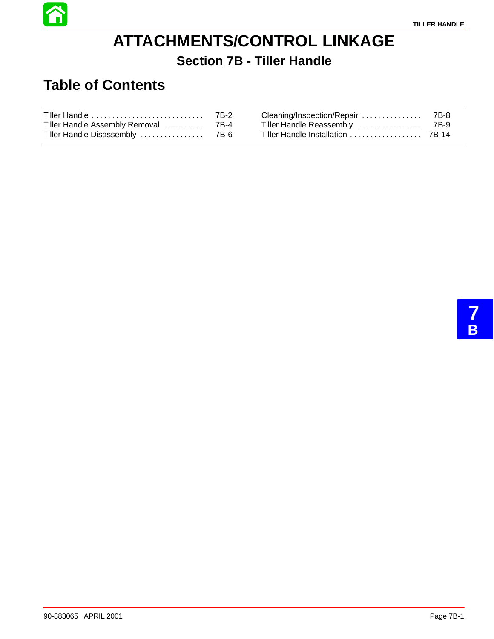

# **ATTACHMENTS/CONTROL LINKAGE Section 7B - Tiller Handle**

# **Table of Contents**

| Tiller Handle Assembly Removal  7B-4 |  |  |
|--------------------------------------|--|--|
|                                      |  |  |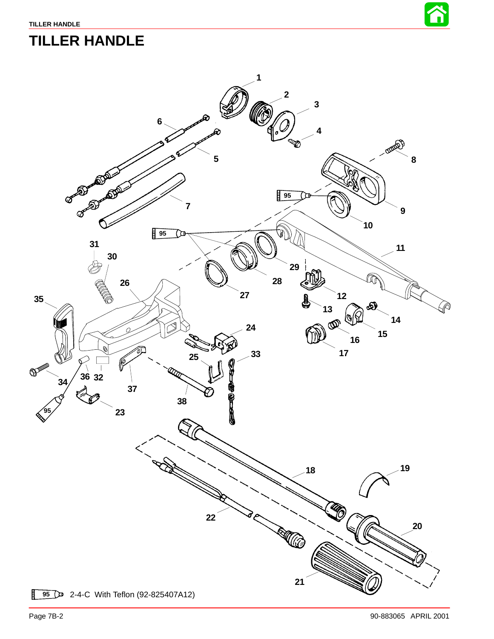

# **TILLER HANDLE**

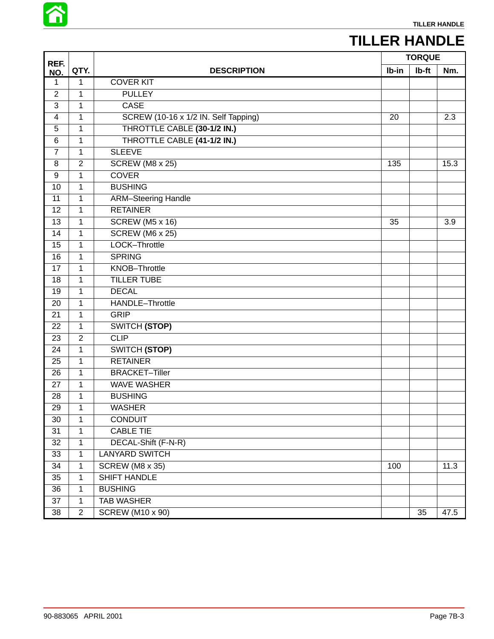

# **TILLER HANDLE**

|                 |                |                                      | <b>TORQUE</b> |       |      |
|-----------------|----------------|--------------------------------------|---------------|-------|------|
| REF.<br>NO.     | QTY.           | <b>DESCRIPTION</b>                   | Ib-in         | Ib-ft | Nm.  |
| 1               | $\mathbf{1}$   | <b>COVER KIT</b>                     |               |       |      |
| $\overline{2}$  | $\mathbf{1}$   | <b>PULLEY</b>                        |               |       |      |
| $\overline{3}$  | $\mathbf{1}$   | <b>CASE</b>                          |               |       |      |
| 4               | $\mathbf 1$    | SCREW (10-16 x 1/2 IN. Self Tapping) | 20            |       | 2.3  |
| 5               | $\mathbf 1$    | THROTTLE CABLE (30-1/2 IN.)          |               |       |      |
| 6               | $\mathbf{1}$   | THROTTLE CABLE (41-1/2 IN.)          |               |       |      |
| $\overline{7}$  | $\mathbf{1}$   | <b>SLEEVE</b>                        |               |       |      |
| 8               | $\overline{2}$ | <b>SCREW (M8 x 25)</b>               | 135           |       | 15.3 |
| 9               | $\mathbf{1}$   | <b>COVER</b>                         |               |       |      |
| 10              | $\mathbf{1}$   | <b>BUSHING</b>                       |               |       |      |
| $\overline{11}$ | $\overline{1}$ | <b>ARM-Steering Handle</b>           |               |       |      |
| 12              | $\mathbf{1}$   | <b>RETAINER</b>                      |               |       |      |
| 13              | $\mathbf{1}$   | <b>SCREW (M5 x 16)</b>               | 35            |       | 3.9  |
| 14              | $\mathbf{1}$   | SCREW (M6 x 25)                      |               |       |      |
| 15              | $\mathbf{1}$   | LOCK-Throttle                        |               |       |      |
| $\overline{16}$ | $\mathbf{1}$   | <b>SPRING</b>                        |               |       |      |
| 17              | $\mathbf{1}$   | <b>KNOB-Throttle</b>                 |               |       |      |
| $\overline{18}$ | $\mathbf{1}$   | <b>TILLER TUBE</b>                   |               |       |      |
| 19              | $\mathbf 1$    | <b>DECAL</b>                         |               |       |      |
| 20              | $\mathbf{1}$   | HANDLE-Throttle                      |               |       |      |
| $\overline{21}$ | $\mathbf{1}$   | <b>GRIP</b>                          |               |       |      |
| 22              | $\mathbf{1}$   | <b>SWITCH (STOP)</b>                 |               |       |      |
| 23              | $\overline{2}$ | <b>CLIP</b>                          |               |       |      |
| 24              | $\mathbf{1}$   | <b>SWITCH (STOP)</b>                 |               |       |      |
| $\overline{25}$ | $\mathbf{1}$   | <b>RETAINER</b>                      |               |       |      |
| 26              | $\mathbf{1}$   | <b>BRACKET-Tiller</b>                |               |       |      |
| 27              | $\mathbf{1}$   | <b>WAVE WASHER</b>                   |               |       |      |
| 28              | $\mathbf{1}$   | <b>BUSHING</b>                       |               |       |      |
| 29              | 1              | <b>WASHER</b>                        |               |       |      |
| 30              | $\mathbf 1$    | <b>CONDUIT</b>                       |               |       |      |
| $\overline{31}$ | $\overline{1}$ | <b>CABLE TIE</b>                     |               |       |      |
| 32              | $\mathbf{1}$   | DECAL-Shift (F-N-R)                  |               |       |      |
| 33              | $\mathbf{1}$   | <b>LANYARD SWITCH</b>                |               |       |      |
| 34              | $\mathbf{1}$   | <b>SCREW (M8 x 35)</b>               | 100           |       | 11.3 |
| 35              | $\mathbf{1}$   | <b>SHIFT HANDLE</b>                  |               |       |      |
| 36              | $\overline{1}$ | <b>BUSHING</b>                       |               |       |      |
| 37              | $\mathbf{1}$   | <b>TAB WASHER</b>                    |               |       |      |
| $\overline{38}$ | $\overline{2}$ | <b>SCREW (M10 x 90)</b>              |               | 35    | 47.5 |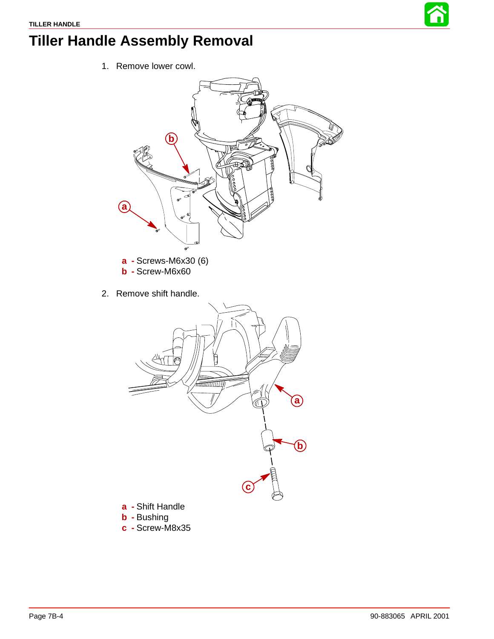

# <span id="page-3-0"></span>**Tiller Handle Assembly Removal**

1. Remove lower cowl.



- **b -** Screw-M6x60
- 2. Remove shift handle.



- **a -** Shift Handle
- **b -** Bushing
- **c -** Screw-M8x35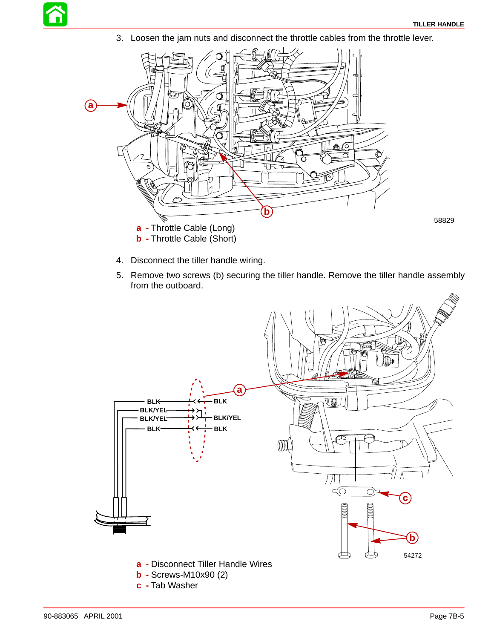58829

3. Loosen the jam nuts and disconnect the throttle cables from the throttle lever.



- 4. Disconnect the tiller handle wiring.
- 5. Remove two screws (b) securing the tiller handle. Remove the tiller handle assembly from the outboard.

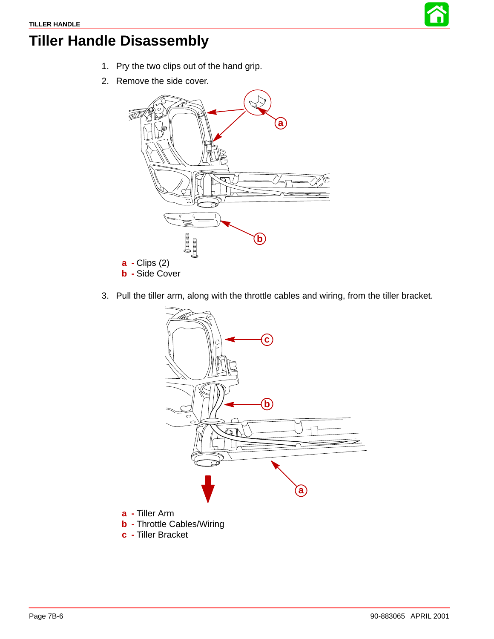

# **Tiller Handle Disassembly**

- 1. Pry the two clips out of the hand grip.
- 2. Remove the side cover.



3. Pull the tiller arm, along with the throttle cables and wiring, from the tiller bracket.

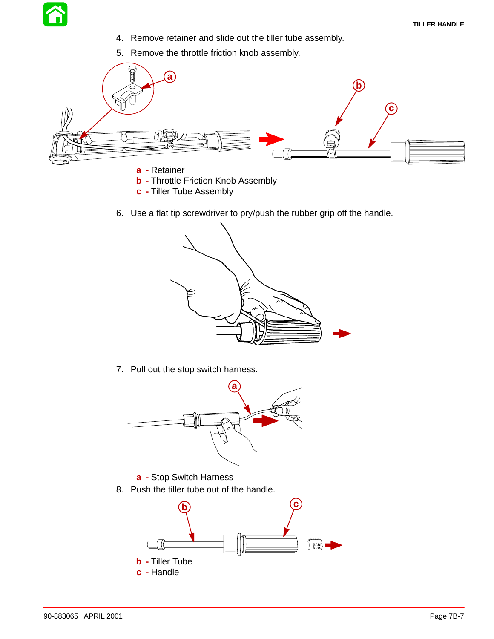- 4. Remove retainer and slide out the tiller tube assembly.
- 5. Remove the throttle friction knob assembly.



- **a -** Retainer
- **b** Throttle Friction Knob Assembly
- **c -** Tiller Tube Assembly
- 6. Use a flat tip screwdriver to pry/push the rubber grip off the handle.



7. Pull out the stop switch harness.



- **a -** Stop Switch Harness
- 8. Push the tiller tube out of the handle.

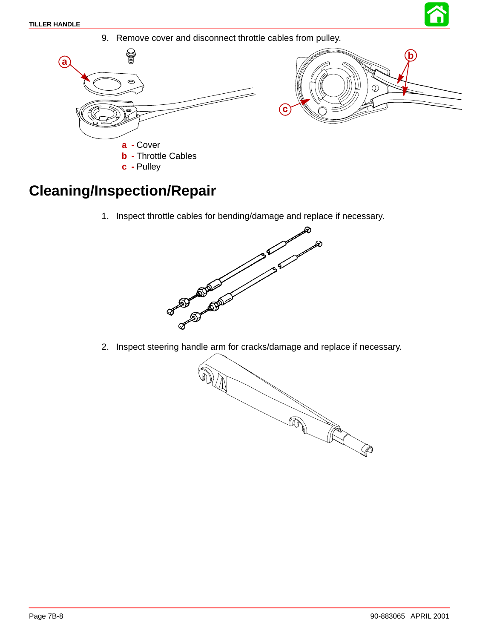



### **Cleaning/Inspection/Repair**

1. Inspect throttle cables for bending/damage and replace if necessary.



2. Inspect steering handle arm for cracks/damage and replace if necessary.

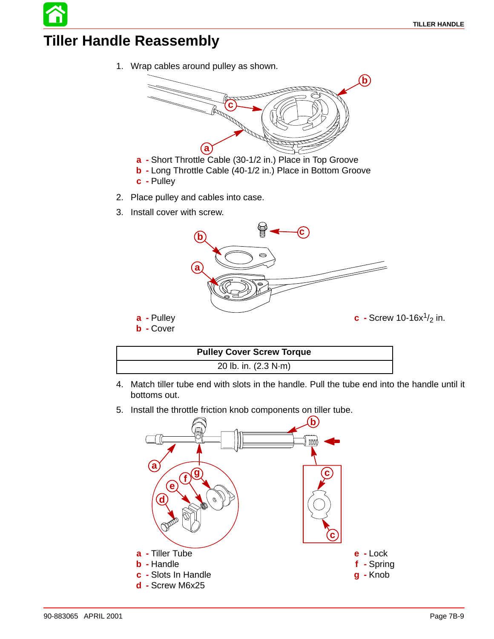### **Tiller Handle Reassembly**

1. Wrap cables around pulley as shown.



- **a -** Short Throttle Cable (30-1/2 in.) Place in Top Groove
- **b -** Long Throttle Cable (40-1/2 in.) Place in Bottom Groove
- **c -** Pulley
- 2. Place pulley and cables into case.
- 3. Install cover with screw.



| <b>Pulley Cover Screw Torque</b> |
|----------------------------------|
| 20 lb. in. (2.3 N·m)             |

- 4. Match tiller tube end with slots in the handle. Pull the tube end into the handle until it bottoms out.
- 5. Install the throttle friction knob components on tiller tube.

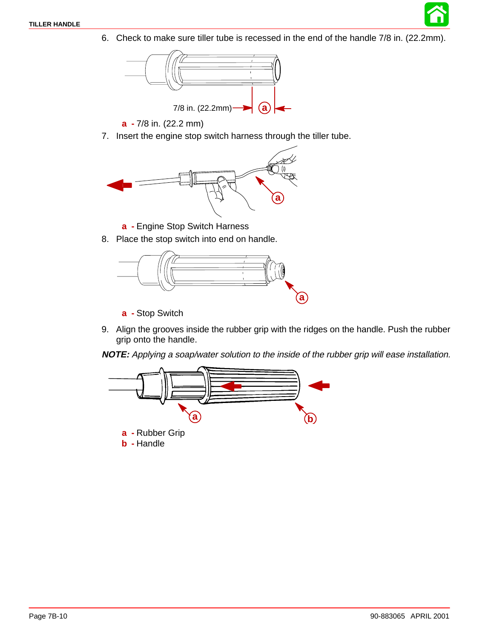6. Check to make sure tiller tube is recessed in the end of the handle 7/8 in. (22.2mm).



- **a -** 7/8 in. (22.2 mm)
- 7. Insert the engine stop switch harness through the tiller tube.



- **a -** Engine Stop Switch Harness
- 8. Place the stop switch into end on handle.



- **a -** Stop Switch
- 9. Align the grooves inside the rubber grip with the ridges on the handle. Push the rubber grip onto the handle.

**NOTE:** Applying a soap/water solution to the inside of the rubber grip will ease installation.

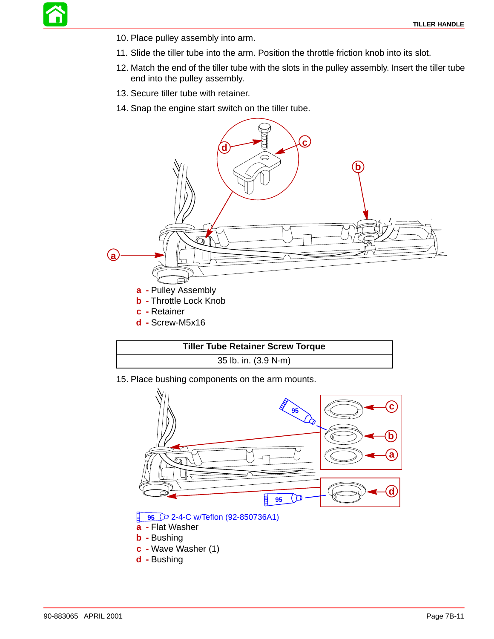

- 10. Place pulley assembly into arm.
- 11. Slide the tiller tube into the arm. Position the throttle friction knob into its slot.
- 12. Match the end of the tiller tube with the slots in the pulley assembly. Insert the tiller tube end into the pulley assembly.
- 13. Secure tiller tube with retainer.
- 14. Snap the engine start switch on the tiller tube.





15. Place bushing components on the arm mounts.

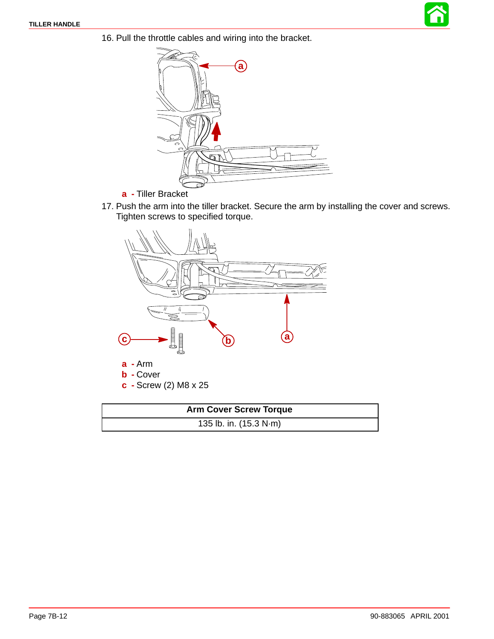



- **a -** Tiller Bracket
- 17. Push the arm into the tiller bracket. Secure the arm by installing the cover and screws. Tighten screws to specified torque.



| <b>Arm Cover Screw Torque</b> |  |  |
|-------------------------------|--|--|
| 135 lb. in. (15.3 N·m)        |  |  |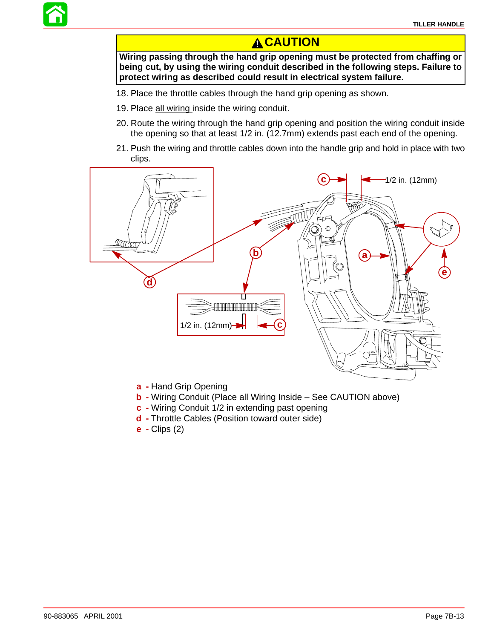

**Wiring passing through the hand grip opening must be protected from chaffing or being cut, by using the wiring conduit described in the following steps. Failure to protect wiring as described could result in electrical system failure.**

- 18. Place the throttle cables through the hand grip opening as shown.
- 19. Place all wiring inside the wiring conduit.
- 20. Route the wiring through the hand grip opening and position the wiring conduit inside the opening so that at least 1/2 in. (12.7mm) extends past each end of the opening.
- 21. Push the wiring and throttle cables down into the handle grip and hold in place with two clips.



- **a -** Hand Grip Opening
- **b -** Wiring Conduit (Place all Wiring Inside See CAUTION above)
- **c -** Wiring Conduit 1/2 in extending past opening
- **d -** Throttle Cables (Position toward outer side)
- **e -** Clips (2)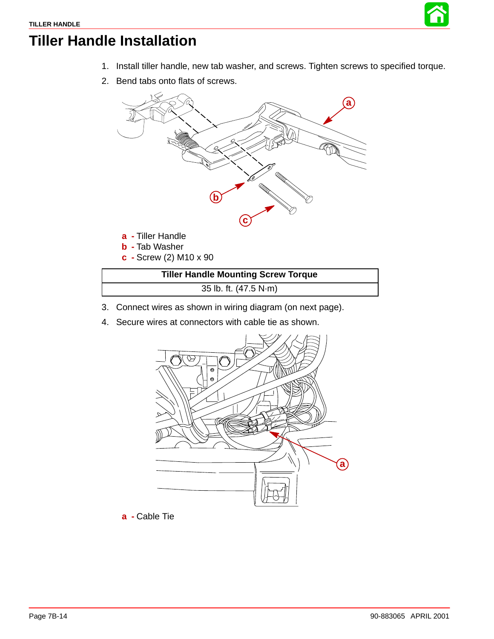

# **Tiller Handle Installation**

- 1. Install tiller handle, new tab washer, and screws. Tighten screws to specified torque.
- 2. Bend tabs onto flats of screws.



| <b>Tiller Handle Mounting Screw Torque</b> |  |
|--------------------------------------------|--|
| 35 lb. ft. (47.5 N·m)                      |  |

- 3. Connect wires as shown in wiring diagram (on next page).
- 4. Secure wires at connectors with cable tie as shown.



**a -** Cable Tie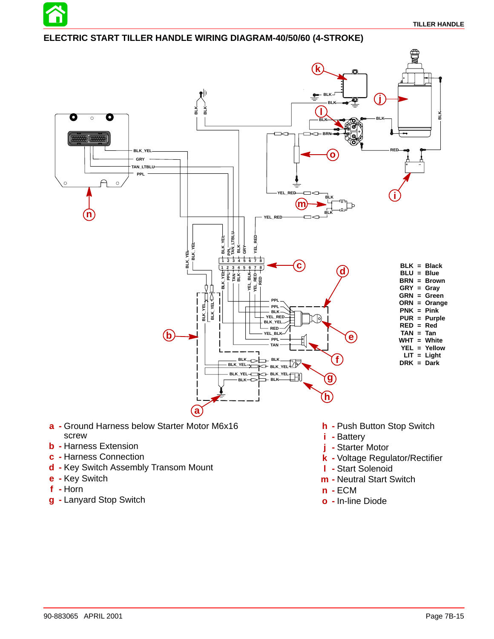

#### **ELECTRIC START TILLER HANDLE WIRING DIAGRAM-40/50/60 (4-STROKE)**



- **a -** Ground Harness below Starter Motor M6x16 screw
- **b -** Harness Extension
- **c -** Harness Connection
- **d -** Key Switch Assembly Transom Mount
- **e -** Key Switch
- **f -** Horn
- **g -** Lanyard Stop Switch
- **h -** Push Button Stop Switch
- **i -** Battery
- **j -** Starter Motor
- **k -** Voltage Regulator/Rectifier
- **l -** Start Solenoid
- **m -** Neutral Start Switch
- **n -** ECM
- **o -** In-line Diode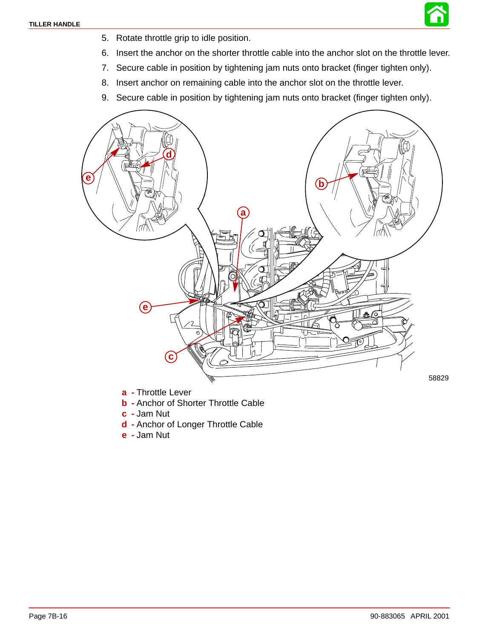

- 5. Rotate throttle grip to idle position.
- 6. Insert the anchor on the shorter throttle cable into the anchor slot on the throttle lever.
- 7. Secure cable in position by tightening jam nuts onto bracket (finger tighten only).
- 8. Insert anchor on remaining cable into the anchor slot on the throttle lever.
- 9. Secure cable in position by tightening jam nuts onto bracket (finger tighten only).



- **a -** Throttle Lever
- **b -** Anchor of Shorter Throttle Cable
- **c -** Jam Nut
- **d -** Anchor of Longer Throttle Cable
- **e -** Jam Nut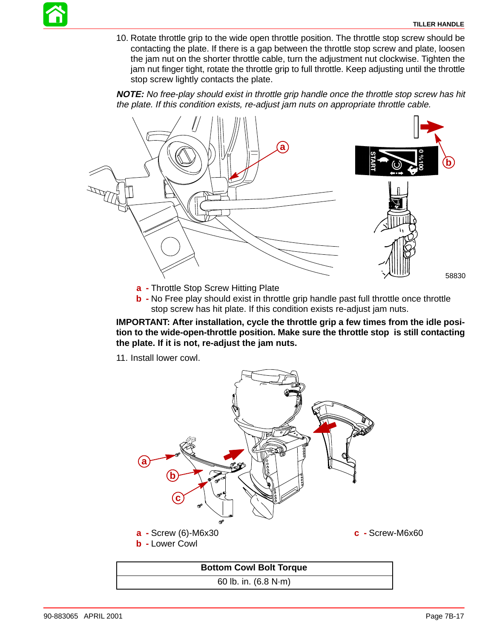10. Rotate throttle grip to the wide open throttle position. The throttle stop screw should be contacting the plate. If there is a gap between the throttle stop screw and plate, loosen the jam nut on the shorter throttle cable, turn the adjustment nut clockwise. Tighten the jam nut finger tight, rotate the throttle grip to full throttle. Keep adjusting until the throttle stop screw lightly contacts the plate.

**NOTE:** No free-play should exist in throttle grip handle once the throttle stop screw has hit the plate. If this condition exists, re-adjust jam nuts on appropriate throttle cable.



- **a -** Throttle Stop Screw Hitting Plate
- **b** No Free play should exist in throttle grip handle past full throttle once throttle stop screw has hit plate. If this condition exists re-adjust jam nuts.

**IMPORTANT: After installation, cycle the throttle grip a few times from the idle position to the wide-open-throttle position. Make sure the throttle stop is still contacting the plate. If it is not, re-adjust the jam nuts.**

11. Install lower cowl.